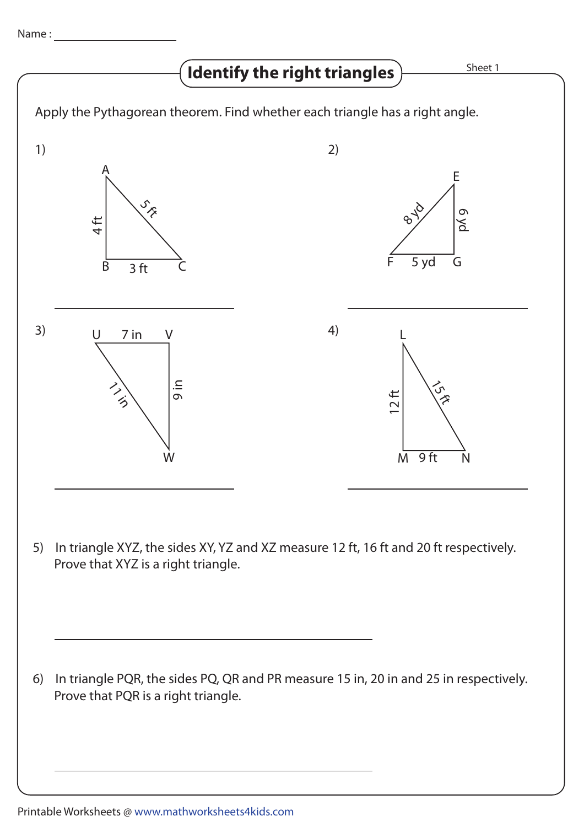